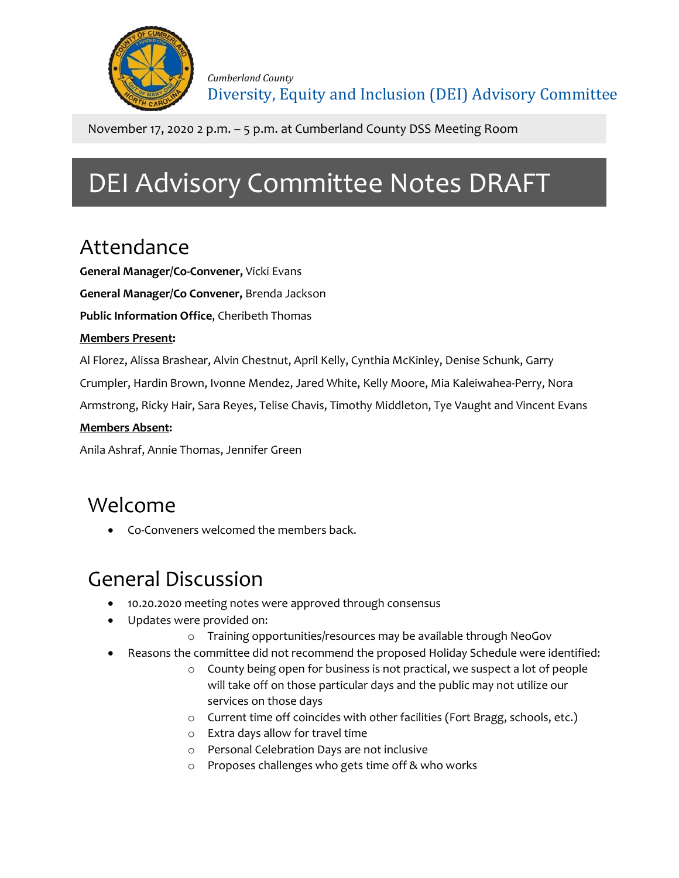

November 17, 2020 2 p.m. – 5 p.m. at Cumberland County DSS Meeting Room

# DEI Advisory Committee Notes DRAFT

# Attendance

**General Manager/Co-Convener,** Vicki Evans

**General Manager/Co Convener,** Brenda Jackson

**Public Information Office**, Cheribeth Thomas

### **Members Present:**

Al Florez, Alissa Brashear, Alvin Chestnut, April Kelly, Cynthia McKinley, Denise Schunk, Garry

Crumpler, Hardin Brown, Ivonne Mendez, Jared White, Kelly Moore, Mia Kaleiwahea-Perry, Nora

Armstrong, Ricky Hair, Sara Reyes, Telise Chavis, Timothy Middleton, Tye Vaught and Vincent Evans

### **Members Absent:**

Anila Ashraf, Annie Thomas, Jennifer Green

### Welcome

• Co-Conveners welcomed the members back.

# General Discussion

- 10.20.2020 meeting notes were approved through consensus
- Updates were provided on:
	- o Training opportunities/resources may be available through NeoGov
- Reasons the committee did not recommend the proposed Holiday Schedule were identified:
	- o County being open for business is not practical, we suspect a lot of people will take off on those particular days and the public may not utilize our services on those days
	- o Current time off coincides with other facilities (Fort Bragg, schools, etc.)
	- o Extra days allow for travel time
	- o Personal Celebration Days are not inclusive
	- o Proposes challenges who gets time off & who works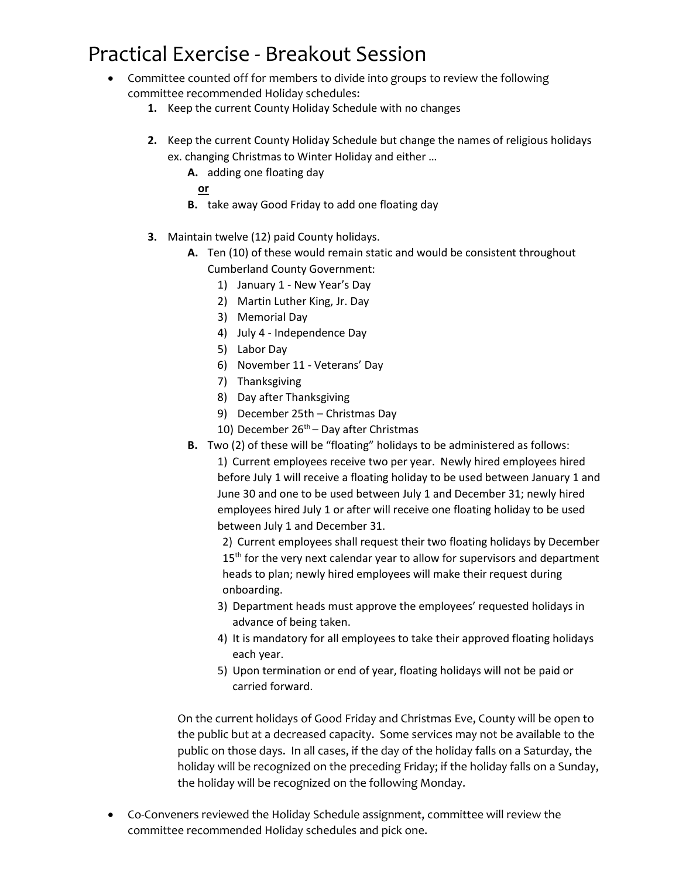# Practical Exercise - Breakout Session

- Committee counted off for members to divide into groups to review the following committee recommended Holiday schedules:
	- **1.** Keep the current County Holiday Schedule with no changes
	- **2.** Keep the current County Holiday Schedule but change the names of religious holidays ex. changing Christmas to Winter Holiday and either …
		- **A.** adding one floating day
			- **or**
		- **B.** take away Good Friday to add one floating day
	- **3.** Maintain twelve (12) paid County holidays.
		- **A.** Ten (10) of these would remain static and would be consistent throughout Cumberland County Government:
			- 1) January 1 New Year's Day
			- 2) Martin Luther King, Jr. Day
			- 3) Memorial Day
			- 4) July 4 Independence Day
			- 5) Labor Day
			- 6) November 11 Veterans' Day
			- 7) Thanksgiving
			- 8) Day after Thanksgiving
			- 9) December 25th Christmas Day
			- 10) December  $26<sup>th</sup>$  Day after Christmas
		- **B.** Two (2) of these will be "floating" holidays to be administered as follows:

1) Current employees receive two per year. Newly hired employees hired before July 1 will receive a floating holiday to be used between January 1 and June 30 and one to be used between July 1 and December 31; newly hired employees hired July 1 or after will receive one floating holiday to be used between July 1 and December 31.

2) Current employees shall request their two floating holidays by December 15<sup>th</sup> for the very next calendar year to allow for supervisors and department heads to plan; newly hired employees will make their request during onboarding.

- 3) Department heads must approve the employees' requested holidays in advance of being taken.
- 4) It is mandatory for all employees to take their approved floating holidays each year.
- 5) Upon termination or end of year, floating holidays will not be paid or carried forward.

On the current holidays of Good Friday and Christmas Eve, County will be open to the public but at a decreased capacity. Some services may not be available to the public on those days. In all cases, if the day of the holiday falls on a Saturday, the holiday will be recognized on the preceding Friday; if the holiday falls on a Sunday, the holiday will be recognized on the following Monday.

• Co-Conveners reviewed the Holiday Schedule assignment, committee will review the committee recommended Holiday schedules and pick one.